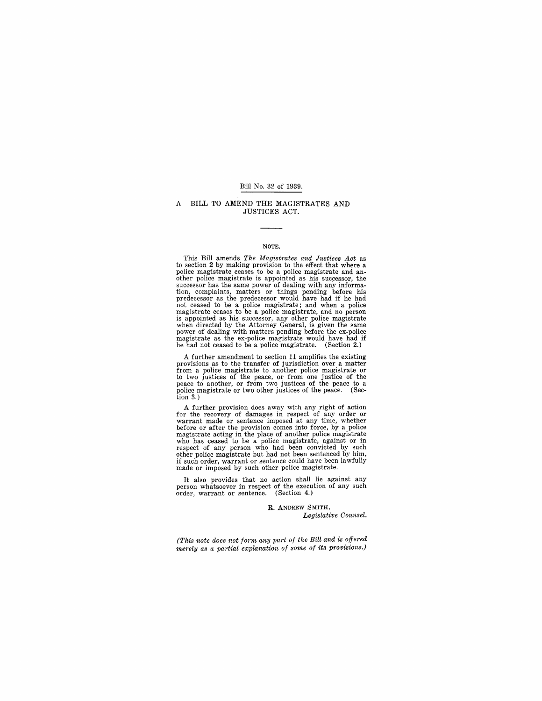#### Bill No. 32 of 1939.

#### A BILL TO AMEND THE MAGISTRATES AND JUSTICES ACT.

#### NOTE.

This Bill amends *The Magistrates and Justices Act* as to section 2 by making provision to the effect that where a police magistrate ceases to be a police magistrate and an-other police magistrate is appointed as his succe tion, complaints, matters or things pending before his predecessor as the predecessor would have had if he had not ceased to be a police magistrate; and when a police magistrate ceases to be a police magistrate, and no person is appointed as his successor, any other police magistrate when directed by the Attorney General, is given the same power of dealing with matters pending before the ex-police magistrate as the ex-police magistrate would have had if<br>he had not ceased to be a police magistrate (Section 2) he had not ceased to be a police magistrate.

A further amendment to section 11 amplifies the existing<br>provisions as to the transfer of jurisdiction over a matter<br>from a police magistrate to another police magistrate or<br>to two justices of the peace, or from one justic peace to another, or from two justices of the peace to a police magistrate or two other justices of the peace. (Section 3.)

A further provision does away with any right of action warrant made or sentence imposed at any time, whether before or after the provision comes into force, by a police magistrate acting in the place of another police magistrate who has ceased to be a police magistrate, against or in respect of any person who had been convicted by such other police magistrate but had not been sentenced by him, if such order, warrant or sentence could have been lawfully made or imposed by such other police magistrate.

It also provides that no action shall lie against any person whatsoever in respect of the execution of any such order, warrant or sentence. (Section 4.)

> R. ANDREW SMITH, *Legislative Counsel.*

*(This note does not form any part of the Bill and is offered merely as a partial explanation of some of its provisions.)*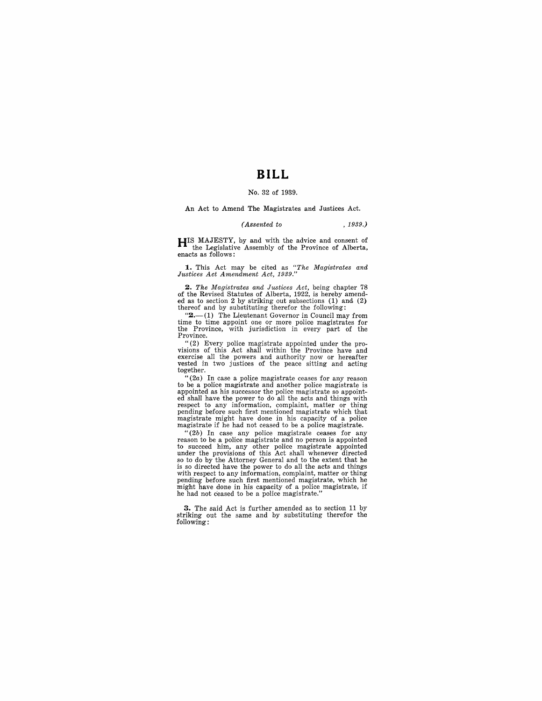# **BILL**

## No. 32 of 1939.

An Act to Amend The Magistrates and Justices Act.

#### *(Assented to* , 1939.)

HIS MAJESTY, by and with the advice and consent of the Legislative Assembly of the Province of Alberta, enacts as follows:

~. This Act may be cited as *"The Magistrates and Justices Act Amendment Act, 1939."* 

*2. The Magistrates and Justices Act,* being chapter 78 of the Revised Statutes of Alberta, 1922, is hereby amended as to section 2 by striking out subsections (1) and (2) thereof and by substituting therefor the following:

" $2$ .-(1) The Lieutenant Governor in Council may from time to time appoint one or more police magistrates for the Province, with jurisdiction in every part of the Province.

"(2) Every police magistrate appointed under the pro-visions of this Act shall within the Province have and exercise all the powers and authority now or hereafter vested in two justices of the peace sitting and acting together.

 $''(2a)$  In case a police magistrate ceases for any reason to be a police magistrate and another police magistrate is appointed as his successor the police magistrate so appointed shall have the power to do all the acts and things with respect to any information, complaint, matter or thing pending before such first mentioned magistrate which that magistrate might have done in his capacity of a police magistrate if he had not ceased to be a police magistrate.<br>"(2b) In case any police magistrate ceases for any

reason to be a police magistrate and no person is appointed to succeed him, any other police magistrate appointed under the provisions of this Act shall whenever directed under the provisions of this Act shall whenever directed<br>so to do by the Attorney General and to the extent that he<br>is so directed have the power to do all the acts and thing<br>with respect to any information, complaint, mat might have done in his capacity of a police magistrate, if he had not ceased to be a police magistrate."

3. The said Act is further amended as to section 11 by striking out the same and by substituting therefor the following: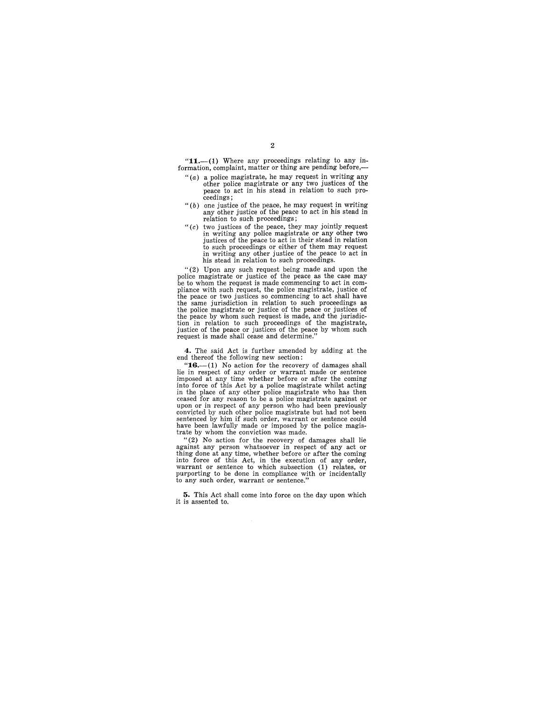" $11.$ --(1) Where any proceedings relating to any information, complaint, matter or thing are pending before,---

- "(a) a police magistrate, he may request in writing any other police magistrate or any two justices of the peace to act in his stead in relation to such proceedings;
- " $(b)$  one justice of the peace, he may request in writing any other justice of the peace to act in his stead in relation to such proceedings;
- " $(c)$  two justices of the peace, they may jointly request in writing any police magistrate or any other two justices of the peace to act in their stead in relation to such proceedings or either of them may request in writing any other justice of the peace to act in his stead in relation to such proceedings.

"(2) Upon any such request being made and upon the police magistrate or justice of the peace as the case may be to whom the request is made commencing to act in compliance with such request, the police magistrate, justice of the peace or two justices so commencing to act shall have the same jurisdiction in relation to such proceedings as the same jurisdiction in relation to such proceedings as the police magistrate or justice of the peace or justices of the peace by whom such request is made, and'the jurisdiction in relation to such proceedings of the magistrate, justice of the peace or justices of the peace by whom such request is made shall cease and determine."

4. The said Act is further amended by adding at the end thereof the following new section:

" $16.$ — $(1)$  No action for the recovery of damages shall lie in respect of any order or warrant made or sentence imposed at any time whether before or after the coming into force of this Act by a police magistrate whilst acting in the place of any other police magistrate who has then ceased for any reason to be a police magistrate against or<br>upon or in respect of any person who had been previously<br>convicted by such other police magistrate but had not been<br>sentenced by him if such order, warrant or sent have been lawfully made or imposed by the police magistrate by whom the conviction was made.

" $(2)$  No action for the recovery of damages shall lie against any person whatsoever in respect of any act or thing done at any time, whether before or after the coming into force of this Act, in the execution of any order, warrant or sentence to which subsection (1) relates, or purporting to be done in compliance with or incidentally to any such order, warrant or sentence."

**5.** This Act shall come into force on the day upon which it is assented to.

## 2